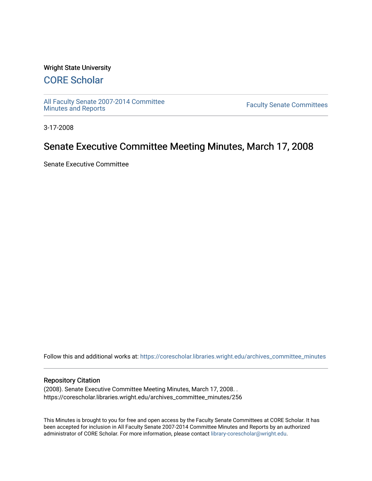#### Wright State University

# [CORE Scholar](https://corescholar.libraries.wright.edu/)

[All Faculty Senate 2007-2014 Committee](https://corescholar.libraries.wright.edu/archives_committee_minutes)

**Faculty Senate Committees** 

3-17-2008

# Senate Executive Committee Meeting Minutes, March 17, 2008

Senate Executive Committee

Follow this and additional works at: [https://corescholar.libraries.wright.edu/archives\\_committee\\_minutes](https://corescholar.libraries.wright.edu/archives_committee_minutes?utm_source=corescholar.libraries.wright.edu%2Farchives_committee_minutes%2F256&utm_medium=PDF&utm_campaign=PDFCoverPages) 

#### Repository Citation

(2008). Senate Executive Committee Meeting Minutes, March 17, 2008. . https://corescholar.libraries.wright.edu/archives\_committee\_minutes/256

This Minutes is brought to you for free and open access by the Faculty Senate Committees at CORE Scholar. It has been accepted for inclusion in All Faculty Senate 2007-2014 Committee Minutes and Reports by an authorized administrator of CORE Scholar. For more information, please contact [library-corescholar@wright.edu.](mailto:library-corescholar@wright.edu)